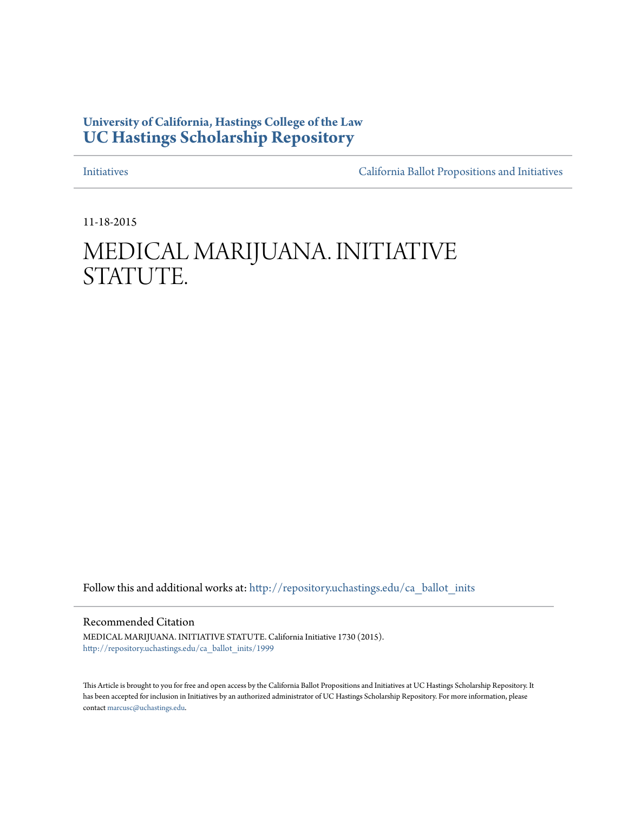### **University of California, Hastings College of the Law [UC Hastings Scholarship Repository](http://repository.uchastings.edu?utm_source=repository.uchastings.edu%2Fca_ballot_inits%2F1999&utm_medium=PDF&utm_campaign=PDFCoverPages)**

[Initiatives](http://repository.uchastings.edu/ca_ballot_inits?utm_source=repository.uchastings.edu%2Fca_ballot_inits%2F1999&utm_medium=PDF&utm_campaign=PDFCoverPages) [California Ballot Propositions and Initiatives](http://repository.uchastings.edu/ca_ballots?utm_source=repository.uchastings.edu%2Fca_ballot_inits%2F1999&utm_medium=PDF&utm_campaign=PDFCoverPages)

11-18-2015

## MEDICAL MARIJUANA. INITIATIVE STATUTE.

Follow this and additional works at: [http://repository.uchastings.edu/ca\\_ballot\\_inits](http://repository.uchastings.edu/ca_ballot_inits?utm_source=repository.uchastings.edu%2Fca_ballot_inits%2F1999&utm_medium=PDF&utm_campaign=PDFCoverPages)

Recommended Citation

MEDICAL MARIJUANA. INITIATIVE STATUTE. California Initiative 1730 (2015). [http://repository.uchastings.edu/ca\\_ballot\\_inits/1999](http://repository.uchastings.edu/ca_ballot_inits/1999?utm_source=repository.uchastings.edu%2Fca_ballot_inits%2F1999&utm_medium=PDF&utm_campaign=PDFCoverPages)

This Article is brought to you for free and open access by the California Ballot Propositions and Initiatives at UC Hastings Scholarship Repository. It has been accepted for inclusion in Initiatives by an authorized administrator of UC Hastings Scholarship Repository. For more information, please contact [marcusc@uchastings.edu](mailto:marcusc@uchastings.edu).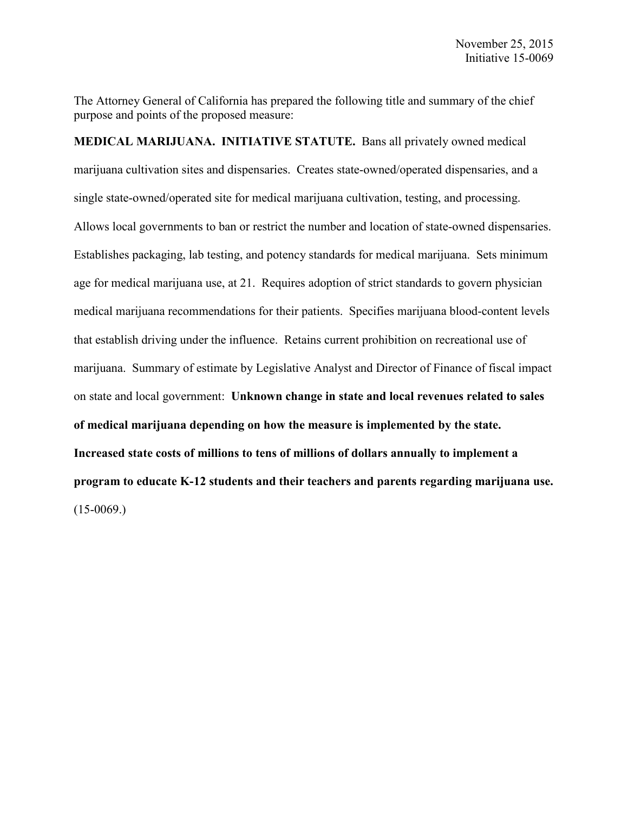The Attorney General of California has prepared the following title and summary of the chief purpose and points of the proposed measure:

**MEDICAL MARIJUANA. INITIATIVE STATUTE.** Bans all privately owned medical marijuana cultivation sites and dispensaries. Creates state-owned/operated dispensaries, and a single state-owned/operated site for medical marijuana cultivation, testing, and processing. Allows local governments to ban or restrict the number and location of state-owned dispensaries. Establishes packaging, lab testing, and potency standards for medical marijuana. Sets minimum age for medical marijuana use, at 21. Requires adoption of strict standards to govern physician medical marijuana recommendations for their patients. Specifies marijuana blood-content levels that establish driving under the influence. Retains current prohibition on recreational use of marijuana. Summary of estimate by Legislative Analyst and Director of Finance of fiscal impact on state and local government: **Unknown change in state and local revenues related to sales of medical marijuana depending on how the measure is implemented by the state. Increased state costs of millions to tens of millions of dollars annually to implement a program to educate K-12 students and their teachers and parents regarding marijuana use.**  $(15-0069)$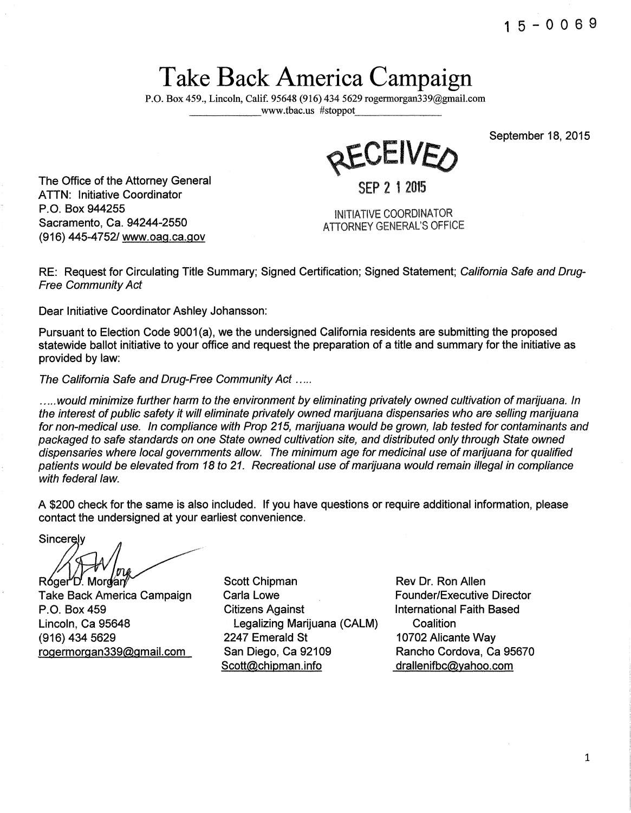**1** 5 - 0 0 6 9

September 18, 2015

# **Take Back America Campaign**

P.O. Box 459., Lincoln, Calif. 95648 (916) 434 5629 rogermorgan339@gmail.com

REAMIAEO

SEP 2 1 2015

INITIATIVE COORDINATOR **ATTORNEY GENERAL'S OFFICE** 

The Office of the Attorney General ATTN: Initiative Coordinator P.O. Box 944255 Sacramento, Ca. 94244-2550 (916) 445-4752/ www.oag.ca.gov

RE: Request for Circulating Title Summary; Signed Certification; Signed Statement; California Safe and Drug-Free Community Act

Dear Initiative Coordinator Ashley Johansson:

Pursuant to Election Code 9001 (a), we the undersigned California residents are submitting the proposed statewide ballot initiative to your office and request the preparation of a title and summary for the initiative as provided by law:

The California Safe and Drug-Free Community Act .....

. . ... would minimize further harm to the environment by eliminating privately owned cultivation of marijuana. In the interest of public safety it will eliminate privately owned marijuana dispensaries who are selling marijuana for non-medical use. In compliance with Prop 215, marijuana would be grown, lab tested for contaminants and packaged to safe standards on one State owned cultivation site, and distributed only through State owned dispensaries where local governments allow. The minimum age for medicinal use of marijuana for qualified patients would be elevated from 18 to 21. Recreational use of marijuana would remain illegal in compliance with federal law.

A \$200 check for the same is also included. If you have questions or require additional information, please contact the undersigned at your earliest convenience.

Sincerelv

Róger<sup>o</sup>D'. Mordan

Take Back America Campaign P.O. Box 459 Lincoln, Ca 95648 (916) 434 5629 rogermorgan339@gmail.com

Scott Chipman Carla Lowe Citizens Against Legalizing Marijuana (CALM) 2247 Emerald St San Diego, Ca 92109 Scott@chipman.info

Rev Dr. Ron Allen Founder/Executive Director International Faith Based **Coalition** 10702 Alicante Way Rancho Cordova, Ca 95670 drallenifbc@yahoo.com

1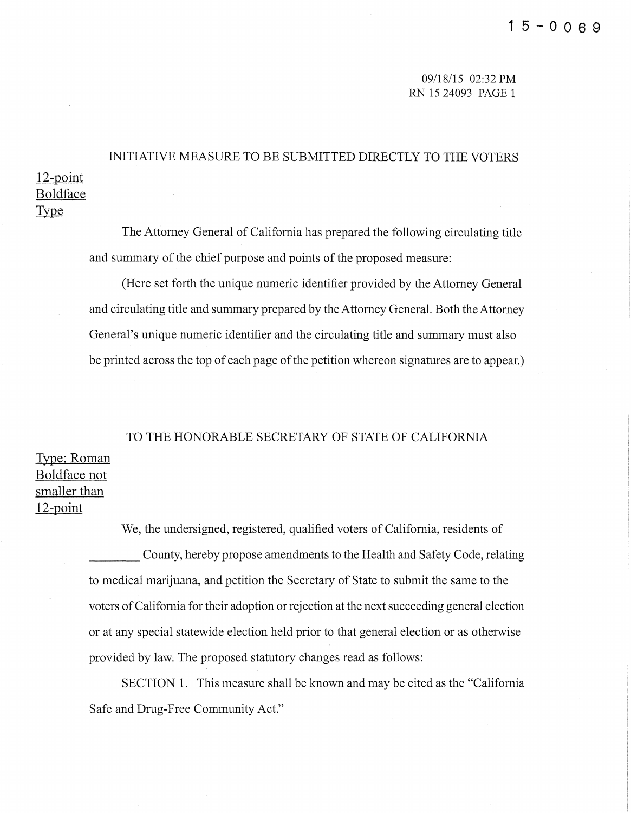## 12-point Boldface INITIATIVE MEASURE TO BE SUBMITTED DIRECTLY TO THE VOTERS

Type<sub></sub>

The Attorney General of California has prepared the following circulating title and summary of the chief purpose and points of the proposed measure:

(Here set forth the unique numeric identifier provided by the Attorney General and circulating title and summary prepared by the Attorney General. Both the Attorney General's unique numeric identifier and the circulating title and summary must also be printed across the top of each page of the petition whereon signatures are to appear.)

TO THE HONORABLE SECRETARY OF STATE OF CALIFORNIA Type: Roman Boldface not smaller than 12-point

We, the undersigned, registered, qualified voters of California, residents of

\_\_\_\_ County, hereby propose amendments to the Health and Safety Code, relating to medical marijuana, and petition the Secretary of State to submit the same to the voters of California for their adoption or rejection at the next succeeding general election or at any special statewide election held prior to that general election or as otherwise provided by law. The proposed statutory changes read as follows:

SECTION 1. This measure shall be known and may be cited as the "California Safe and Drug-Free Community Act."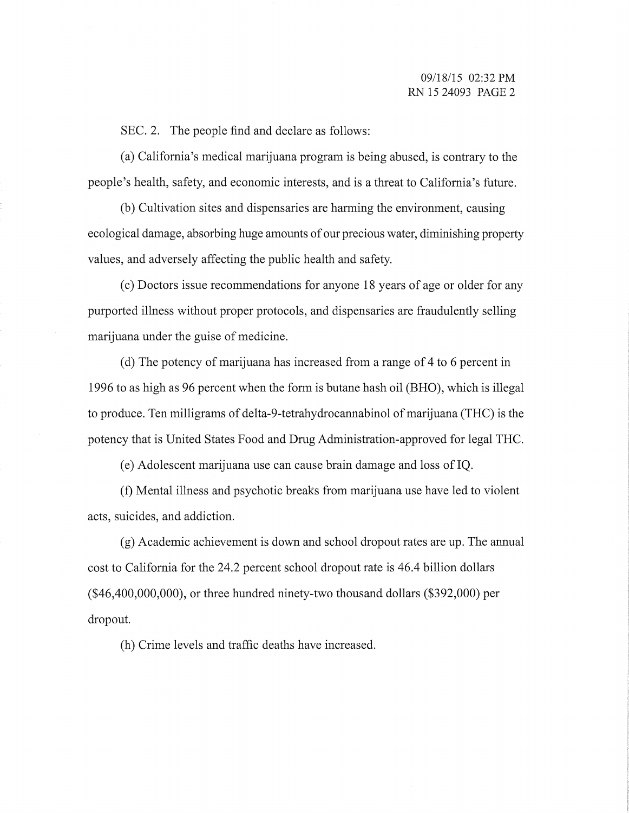SEC. 2. The people find and declare as follows:

(a) California's medical marijuana program is being abused, is contrary to the people's health, safety, and economic interests, and is a threat to California's future.

(b) Cultivation sites and dispensaries are harming the environment, causing ecological damage, absorbing huge amounts of our precious water, diminishing property values, and adversely affecting the public health and safety.

(c) Doctors issue recommendations for anyone 18 years of age or older for any purported illness without proper protocols, and dispensaries are fraudulently selling marijuana under the guise of medicine.

(d) The potency of marijuana has increased from a range of 4 to 6 percent in 1996 to as high as 96 percent when the form is butane hash oil (BHO), which is illegal to produce. Ten milligrams of delta~9-tetrahydrocannabinol of marijuana (THC) is the potency that is United States Food and Drug Administration-approved for legal THC.

(e) Adolescent marijuana use can cause brain damage and loss ofiQ.

(f) Mental illness and psychotic breaks from marijuana use have led to violent acts, suicides, and addiction.

(g) Academic achievement is down and school dropout rates are up. The annual cost to California for the 24.2 percent school dropout rate is 46.4 billion dollars (\$46,400,000,000), or three hundred ninety-two thousand dollars (\$392,000) per dropout.

(h) Crime levels and traffic deaths have increased.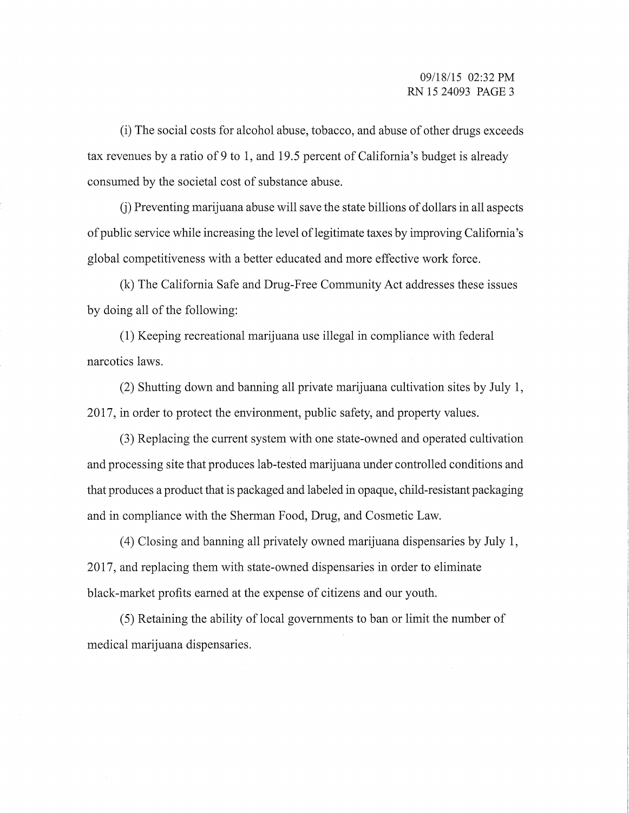(i) The social costs for alcohol abuse, tobacco, and abuse of other drugs exceeds tax revenues by a ratio of 9 to 1, and 19.5 percent of California's budget is already consumed by the societal cost of substance abuse.

(j) Preventing marijuana abuse will save the state billions of dollars in all aspects of public service while increasing the level of legitimate taxes by improving California's global competitiveness with a better educated and more effective work force.

(k) The California Safe and Drug-Free Community Act addresses these issues by doing all of the following:

(1) Keeping recreational marijuana use illegal in compliance with federal narcotics laws.

(2) Shutting down and banning all private marijuana cultivation sites by July 1, 2017, in order to protect the environment, public safety, and property values.

(3) Replacing the current system with one state-owned and operated cultivation and processing site that produces lab-tested marijuana under controlled conditions and that produces a product that is packaged and labeled in opaque, child-resistant packaging and in compliance with the Sherman Food, Drug, and Cosmetic Law.

( 4) Closing and banning all privately owned marijuana dispensaries by July 1, 2017, and replacing them with state-owned dispensaries in order to eliminate black-market profits earned at the expense of citizens and our youth.

(5) Retaining the ability of local governments to ban or limit the number of medical marijuana dispensaries.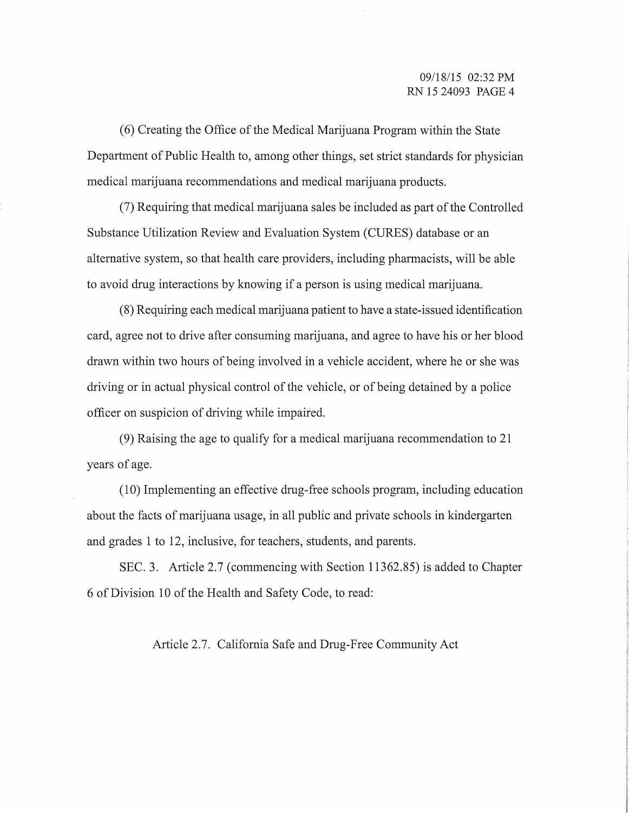(6) Creating the Office of the Medical Marijuana Program within the State Department of Public Health to, among other things, set strict standards for physician medical marijuana recommendations and medical marijuana products.

(7) Requiring that medical marijuana sales be included as part of the Controlled Substance Utilization Review and Evaluation System (CURES) database or an alternative system, so that health care providers, including pharmacists, will be able to avoid drug interactions by knowing if a person is using medical marijuana.

(8) Requiring each medical marijuana patient to have a state-issued identification card, agree not to drive after consuming marijuana, and agree to have his or her blood drawn within two hours of being involved in a vehicle accident, where he or she was driving or in actual physical control of the vehicle, or of being detained by a police officer on suspicion of driving while impaired.

(9) Raising the age to qualify for a medical marijuana recommendation to 21 years of age.

(10) Implementing an effective drug-free schools program, including education about the facts of marijuana usage, in all public and private schools in kindergarten and grades 1 to 12, inclusive, for teachers, students, and parents.

SEC. 3. Article 2.7 (commencing with Section 11362.85) is added to Chapter 6 of Division 10 of the Health and Safety Code, to read:

Article 2.7. California Safe and Drug-Free Community Act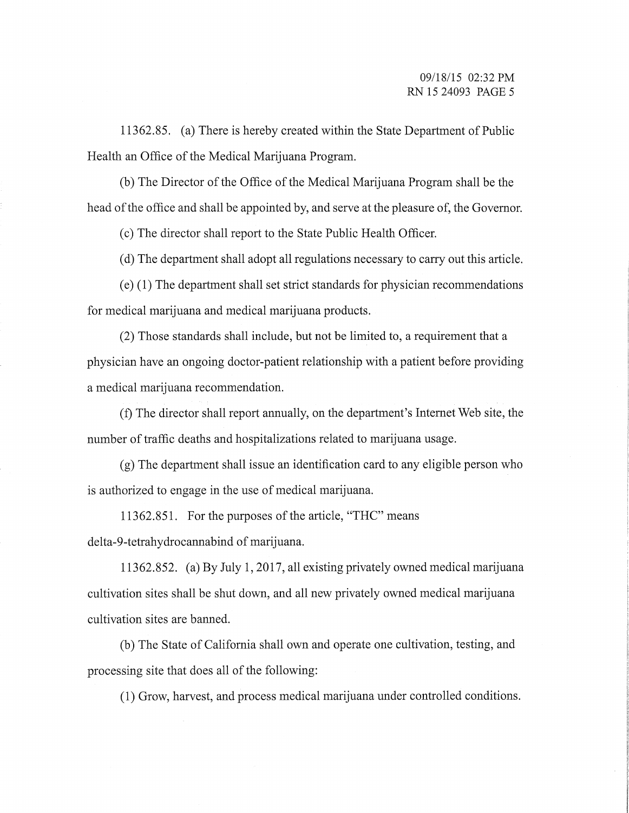11362.85. (a) There is hereby created within the State Department of Public Health an Office of the Medical Marijuana Program.

(b) The Director of the Office of the Medical Marijuana Program shall be the head ofthe office and shall be appointed by, and serve at the pleasure of, the Governor.

(c) The director shall report to the State Public Health Officer.

(d) The department shall adopt all regulations necessary to carry out this article.

(e) ( 1) The department shall set strict standards for physician recommendations for medical marijuana and medical marijuana products.

(2) Those standards shall include, but not be limited to, a requirement that a physician have an ongoing doctor-patient relationship with a patient before providing a medical marijuana recommendation.

(f) The director shall report annually, on the department's Internet Web site, the number of traffic deaths and hospitalizations related to marijuana usage.

(g) The department shall issue an identification card to any eligible person who is authorized to engage in the use of medical marijuana.

11362.851. For the purposes of the article, "THC" means delta-9-tetrahydrocannabind of marijuana.

11362.852. (a) By July 1, 2017, all existing privately owned medical marijuana cultivation sites shall be shut down, and all new privately owned medical marijuana cultivation sites are banned.

(b) The State of California shall own and operate one cultivation, testing, and processing site that does all of the following:

(1) Grow, harvest, and process medical marijuana under controlled conditions.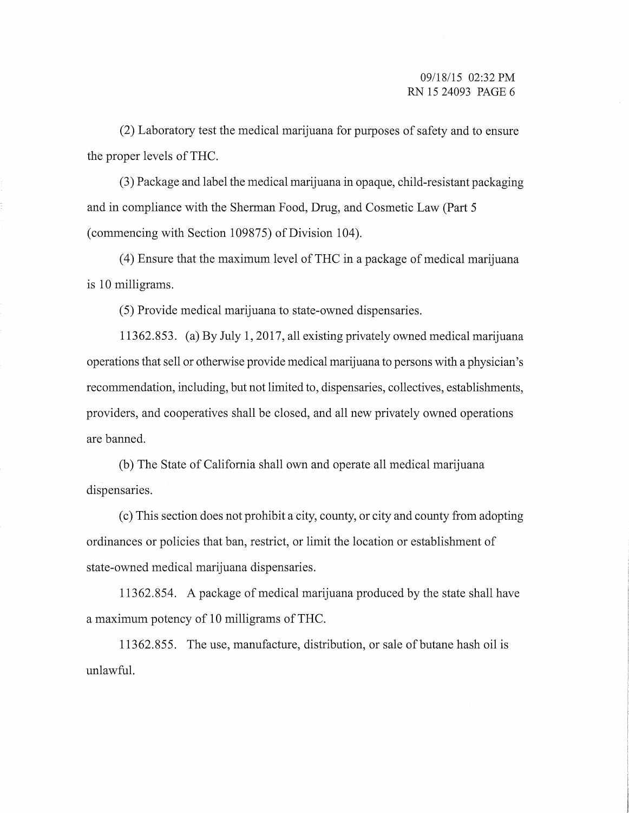(2) Laboratory test the medical marijuana for purposes of safety and to ensure the proper levels of THC.

(3) Package and label the medical marijuana in opaque, child-resistant packaging and in compliance with the Sherman Food, Drug, and Cosmetic Law (Part 5 (commencing with Section 109875) of Division 104).

(4) Ensure that the maximum level ofTHC in a package of medical marijuana is 10 milligrams.

(5) Provide medical marijuana to state-owned dispensaries.

11362.853. (a) By July 1, 2017, all existing privately owned medical marijuana operations that sell or otherwise provide medical marijuana to persons with a physician's recommendation, including, but not limited to, dispensaries, collectives, establishments, providers, and cooperatives shall be closed, and all new privately owned operations are banned.

(b) The State of California shall own and operate all medical marijuana dispensaries.

(c) This section does not prohibit a city, county, or city and county from adopting ordinances or policies that ban, restrict, or limit the location or establishment of state-owned medical marijuana dispensaries.

11362.854. A package of medical marijuana produced by the state shall have a maximum potency of 10 milligrams of THC.

11362.855. The use, manufacture, distribution, or sale of butane hash oil is unlawful.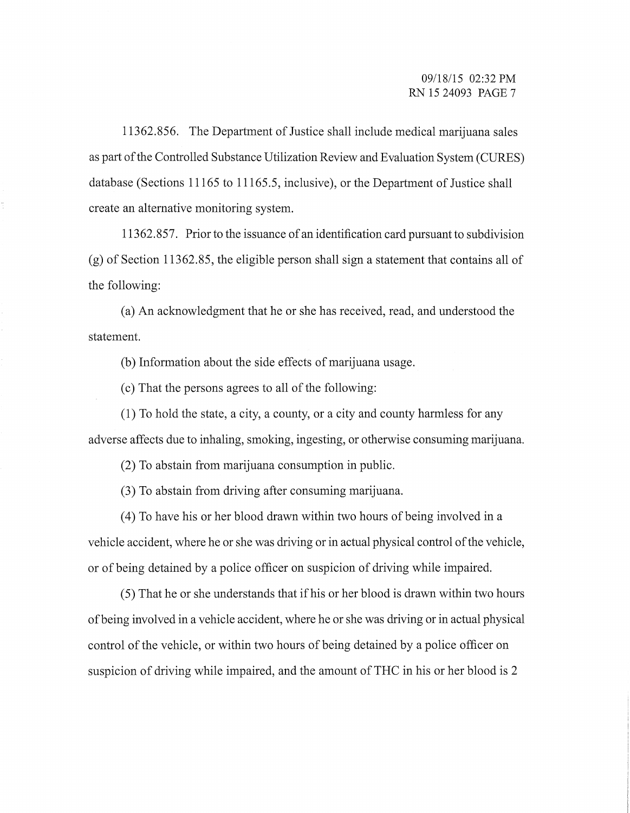11362.856. The Department of Justice shall include medical marijuana sales as part of the Controlled Substance Utilization Review and Evaluation System (CURES) database (Sections 11165 to 11165.5, inclusive), or the Department of Justice shall create an alternative monitoring system.

11362.857. Prior to the issuance of an identification card pursuant to subdivision (g) of Section 11362.85, the eligible person shall sign a statement that contains all of the following:

(a) An acknowledgment that he or she has received, read, and understood the statement.

(b) Information about the side effects of marijuana usage.

(c) That the persons agrees to all of the following:

(1) To hold the state, a city, a county, or a city and county harmless for any adverse affects due to inhaling, smoking, ingesting, or otherwise consuming marijuana.

(2) To abstain from marijuana consumption in public.

(3) To abstain from driving after consuming marijuana.

( 4) To have his or her blood drawn within two hours of being involved in a vehicle accident, where he or she was driving or in actual physical control of the vehicle, or of being detained by a police officer on suspicion of driving while impaired.

( 5) That he or she understands that if his or her blood is drawn within two hours ofbeing involved in a vehicle accident, where he or she was driving or in actual physical control of the vehicle, or within two hours of being detained by a police officer on suspicion of driving while impaired, and the amount of THC in his or her blood is 2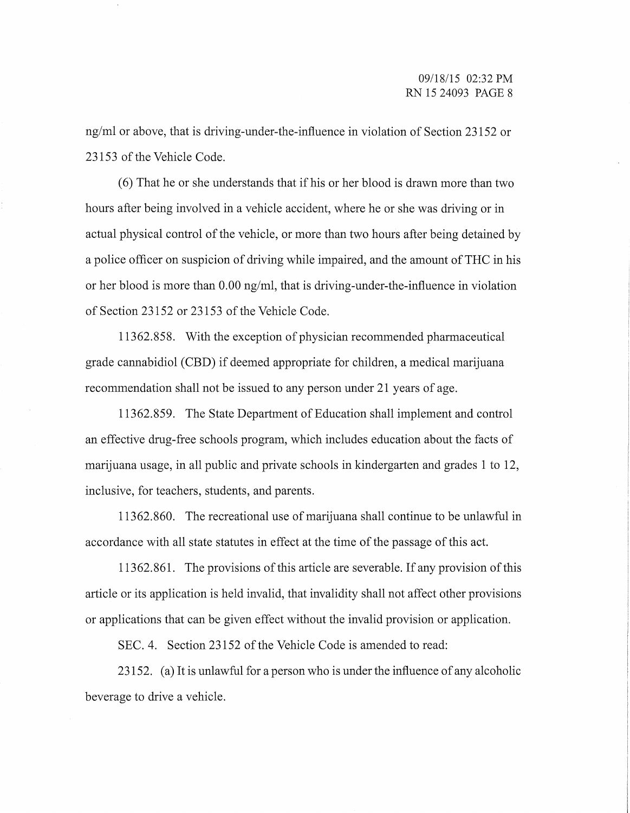ng/ml or above, that is driving-under-the-influence in violation of Section 23152 or 23153 of the Vehicle Code.

( 6) That he or she understands that if his or her blood is drawn more than two hours after being involved in a vehicle accident, where he or she was driving or in actual physical control of the vehicle, or more than two hours after being detained by a police officer on suspicion of driving while impaired, and the amount ofTHC in his or her blood is more than 0.00 ng/ml, that is driving-under-the-influence in violation of Section 23152 or 23153 of the Vehicle Code.

11362.858. With the exception of physician recommended pharmaceutical grade cannabidiol (CBD) if deemed appropriate for children, a medical marijuana recommendation shall not be issued to any person under 21 years of age.

11362.859. The State Department of Education shall implement and control an effective drug-free schools program, which includes education about the facts of marijuana usage, in all public and private schools in kindergarten and grades 1 to 12, inclusive, for teachers, students, and parents.

11362.860. The recreational use of marijuana shall continue to be unlawful in accordance with all state statutes in effect at the time of the passage of this act.

113 62.861. The provisions of this article are severable. If any provision of this article or its application is held invalid, that invalidity shall not affect other provisions or applications that can be given effect without the invalid provision or application.

SEC. 4. Section 23152 of the Vehicle Code is amended to read:

23152. (a) It is unlawful for a person who is under the influence of any alcoholic beverage to drive a vehicle.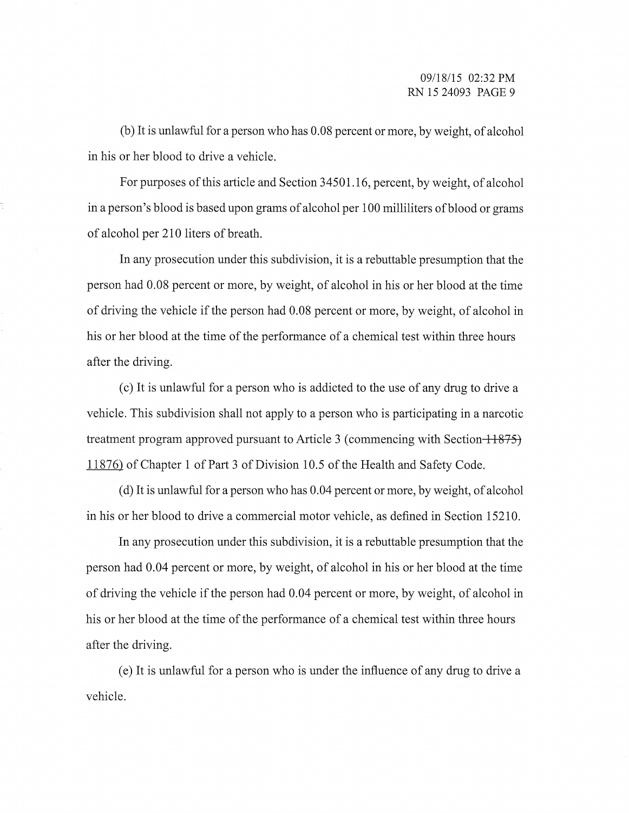(b) It is unlawful for a person who has 0. 08 percent or more, by weight, of alcohol in his or her blood to drive a vehicle.

For purposes of this article and Section 34501.16, percent, by weight, of alcohol in a person's blood is based upon grams of alcohol per 100 milliliters ofblood or grams of alcohol per 210 liters of breath.

In any prosecution under this subdivision, it is a rebuttable presumption that the person had 0.08 percent or more, by weight, of alcohol in his or her blood at the time of driving the vehicle if the person had 0. 08 percent or more, by weight, of alcohol in his or her blood at the time of the performance of a chemical test within three hours after the driving.

(c) It is unlawful for a person who is addicted to the use of any drug to drive a vehicle. This subdivision shall not apply to a person who is participating in a narcotic treatment program approved pursuant to Article 3 (commencing with Section 11875) 11876) of Chapter 1 of Part 3 of Division 10.5 of the Health and Safety Code.

(d) It is unlawful for a person who has 0.04 percent or more, by weight, of alcohol in his or her blood to drive a commercial motor vehicle, as defined in Section 15210.

In any prosecution under this subdivision, it is a rebuttable presumption that the person had 0.04 percent or more, by weight, of alcohol in his or her blood at the time of driving the vehicle if the person had 0.04 percent or more, by weight, of alcohol in his or her blood at the time of the performance of a chemical test within three hours after the driving.

(e) It is unlawful for a person who is under the influence of any drug to drive a vehicle.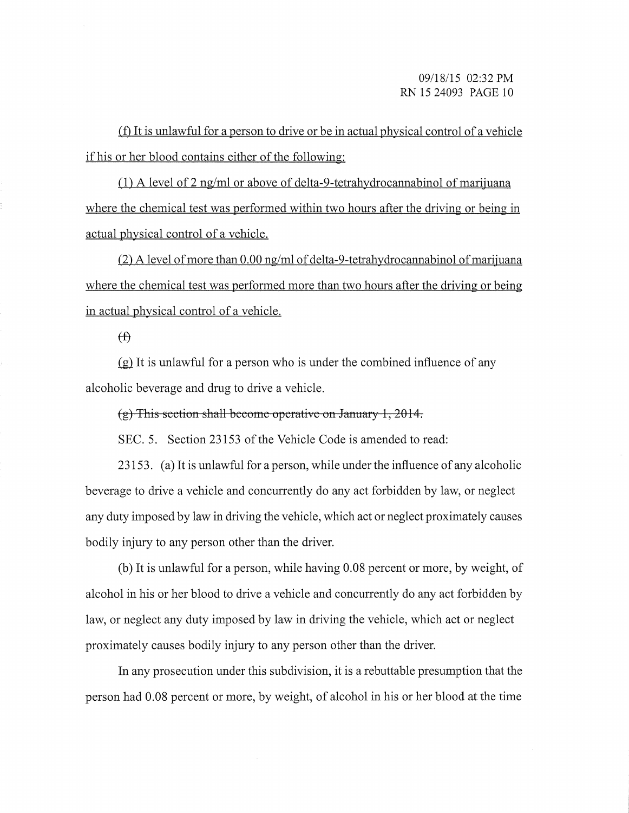(f) It is unlawful for a person to drive or be in actual physical control of a vehicle if his or her blood contains either of the following:

(1) A level of 2 ng/ml or above of delta-9-tetrahydrocannabinol of marijuana where the chemical test was performed within two hours after the driving or being in actual physical control of a vehicle.

(2) A level of more than 0.00 ng/ml of delta-9-tetrahydrocannabinol of marijuana where the chemical test was performed more than two hours after the driving or being in actual physical control of a vehicle.

 $\bigoplus$ 

 $(g)$  It is unlawful for a person who is under the combined influence of any alcoholic beverage and drug to drive a vehicle.

(g) This seetion shall beeome operative on January 1, 2014.

SEC. 5. Section 23153 of the Vehicle Code is amended to read:

23153. (a) It is unlawful for a person, while under the influence of any alcoholic beverage to drive a vehicle and concurrently do any act forbidden by law, or neglect any duty imposed by law in driving the vehicle, which act or neglect proximately causes bodily injury to any person other than the driver.

(b) It is unlawful for a person, while having 0.08 percent or more, by weight, of alcohol in his or her blood to drive a vehicle and concurrently do any act forbidden by law, or neglect any duty imposed by law in driving the vehicle, which act or neglect proximately causes bodily injury to any person other than the driver.

In any prosecution under this subdivision, it is a rebuttable presumption that the person had 0.08 percent or more, by weight, of alcohol in his or her blood at the time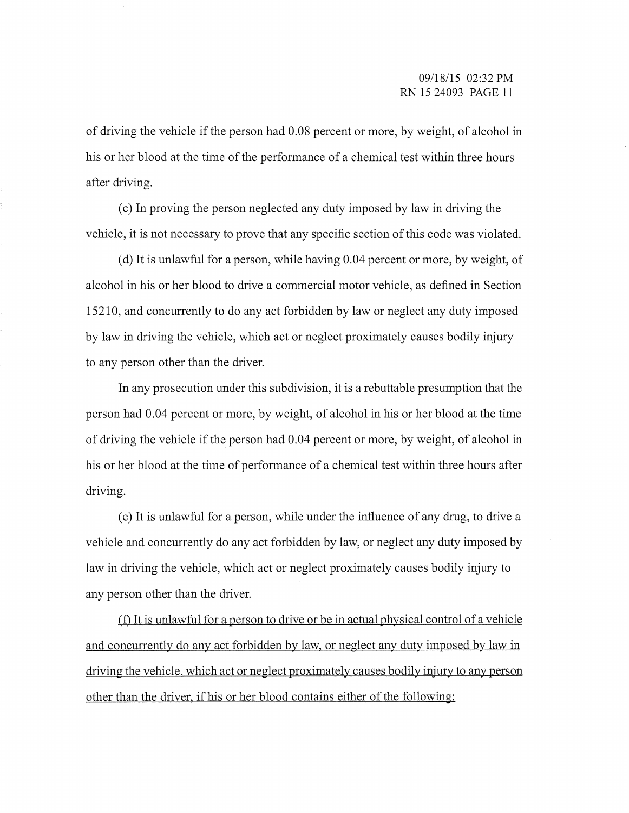of driving the vehicle if the person had 0.08 percent or more, by weight, of alcohol in his or her blood at the time of the performance of a chemical test within three hours after driving.

(c) In proving the person neglected any duty imposed by law in driving the vehicle, it is not necessary to prove that any specific section of this code was violated.

(d) It is unlawful for a person, while having 0.04 percent or more, by weight, of alcohol in his or her blood to drive a commercial motor vehicle, as defined in Section 15210, and concurrently to do any act forbidden by law or neglect any duty imposed by law in driving the vehicle, which act or neglect proximately causes bodily injury to any person other than the driver.

In any prosecution under this subdivision, it is a rebuttable presumption that the person had 0.04 percent or more, by weight, of alcohol in his or her blood at the time of driving the vehicle if the person had 0.04 percent or more, by weight, of alcohol in his or her blood at the time of performance of a chemical test within three hours after driving.

(e) It is unlawful for a person, while under the influence of any drug, to drive a vehicle and concurrently do any act forbidden by law, or neglect any duty imposed by law in driving the vehicle, which act or neglect proximately causes bodily injury to any person other than the driver.

(f) It is unlawful for a person to drive or be in actual physical control of a vehicle and concurrently do any act forbidden by law, or neglect any duty imposed by law in driving the vehicle, which act or neglect proximately causes bodily injury to any person other than the driver, if his or her blood contains either of the following: